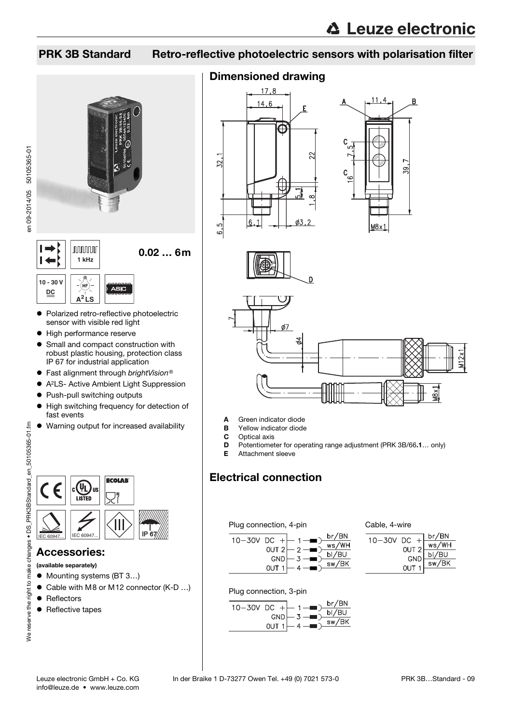## PRK 3B Standard Retro-reflective photoelectric sensors with polarisation filter



- en 09-2014/05 50105365-01 en 09-2014/05 50105365-01
- **10 30 V DC A<sup>2</sup> LS**
- Polarized retro-reflective photoelectric sensor with visible red light
- $\bullet$  High performance reserve
- Small and compact construction with robust plastic housing, protection class IP 67 for industrial application
- Fast alignment through brightVision®
- A2LS- Active Ambient Light Suppression
- Push-pull switching outputs
- $\bullet$  High switching frequency for detection of fast events
- Warning output for increased availability



#### Accessories:

(available separately)

- Mounting systems (BT 3...)
- Cable with M8 or M12 connector (K-D ...)
- Reflectors
- Reflective tapes

### Dimensioned drawing









- A Green indicator diode
- **B** Yellow indicator diode<br>**C** Optical axis
- Optical axis
- D Potentiometer for operating range adjustment (PRK 3B/66.1… only)
- E Attachment sleeve

## Electrical connection

#### Plug connection, 4-pin



#### Cable, 4-wire



Plug connection, 3-pin



info@leuze.de • www.leuze.com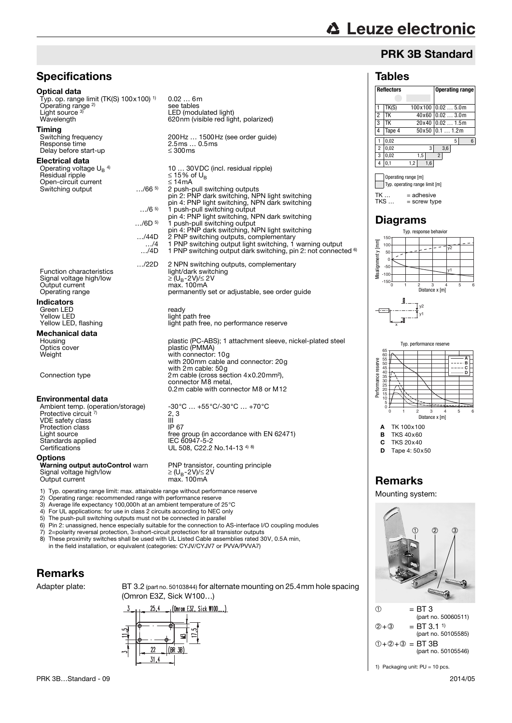### PRK 3B Standard

#### Tables



(part no. 50105585)  $① +② +③ = BT 3B$ (part no. 50105546)

1) Packaging unit: PU = 10 pcs.

## **Specifications**

#### Optical data

Typ. op. range limit (TK(S) 100x100) 1) Operating range<sup>2)</sup> Light source 3 Light source <sup>3)</sup> LED (modulated light)<br>Wavelength 620nm (visible red light, polarized)

0.02 … 6m

see tables

10 ... 30 VDC (incl. residual ripple)<br> $\leq$  15% of U<sub>B</sub>

pin 4: PNP light switching, NPN dark switching …/6 5) 1 push-pull switching output pin 4: PNP light switching, NPN dark switching

…/6D 5) 1 push-pull switching output pin 4: PNP dark switching, NPN light switching

…/22D 2 NPN switching outputs, complementary

2 push-pull switching outputs pin 2: PNP dark switching, NPN light switching

permanently set or adjustable, see order quide

light path free, no performance reserve

0.2m cable with connector M8 or M12

with 2m cable: 50g

connector M8 metal,

**Timing**<br>Switching frequency Switching frequency 200Hz … 1500Hz (see order guide) Response time 2.5ms … 0.5ms Delay before start-up  $\leq$  300ms

#### Electrical data

Operating voltage  $U_B$ <sup>4)</sup> Residual ripple  $\le$  15% copen-circuit current  $\le$  14mA Open-circuit current ≤ 14mA Switching output

Function characteristics<br>
Signal voltage high/low<br>  $\geq (U_B - 2V)/\leq 2V$ Signal voltage high/low  $\geq (U_B-2V)/\leq 2$ <br>Output current max. 100 mA Output current<br>Operating range

#### Indicators

Green LED<br>Yellow I FD Green LED<br>
Yellow LED<br>
Yellow LED, flashing<br>
Yellow LED, flashing<br>
Yellow LED, flashing

## **Mechanical data**

Housing metal plastic (PC-ABS); 1 attachment sleeve, nickel-plated steel<br>Optics cover metal of plastic (PMMA) Optics cover plastic (PMMA)<br>
Optics cover plastic (PMMA)<br>
Weight with connector: Weight with connector: 10g with 200mm cable and connector: 20g

Connection type 2m cable (cross section 4x0.20mm<sup>2</sup>),

#### Environmental data

Ambient temp. (operation/storage) -30°C ... +55°C/-30°C ... +70°C Protective circuit 7) VDE safety class III Protection class IP 67 Light source **free group** (in accordance with EN 62471) Standards applied<br>Certifications

**Options**<br>**Warning output autoControl** warn Signal voltage high/low Output current

PNP transistor, counting principle<br>  $\geq$  (U<sub>B</sub>-2V)/ $\leq$  2V<br>
max. 100mA

EC 60947-5-2<br>IEC 60947-5-2<br>UL 508, C22.2 No.14-13 <sup>4) 8)</sup>

- 1) Typ. operating range limit: max. attainable range without performance reserve<br>2) Operating range: recommended range with performance reserve<br>3) Average life expectancy 100,000b at an ambient temperature of 25°C
- 2) Operating range: recommended range with performance reserve
- 3) Average life expectancy 100,000h at an ambient temperature of 25°C
- 4) For UL applications: for use in class 2 circuits according to NEC only
- 5) The push-pull switching outputs must not be connected in parallel 6) Pin 2: unassigned, hence especially suitable for the connection to  $\lambda$

 $2, 3$ 

- 6) Pin 2: unassigned, hence especially suitable for the connection to AS-interface I/O coupling modules<br>
7) 2=polarity reversal protection, 3=short-circuit protection for all transistor outputs
- 7) 2=polarity reversal protection, 3=short-circuit protection for all transistor outputs 8) These proximity switches shall be used with UL Listed Cable assemblies rated 30V, 0.5A min,
- in the field installation, or equivalent (categories: CYJV/CYJV7 or PVVA/PVVA7)

## Remarks

Adapter plate: BT 3.2 (part no. 50103844) for alternate mounting on 25.4mm hole spacing (Omron E3Z, Sick W100…)

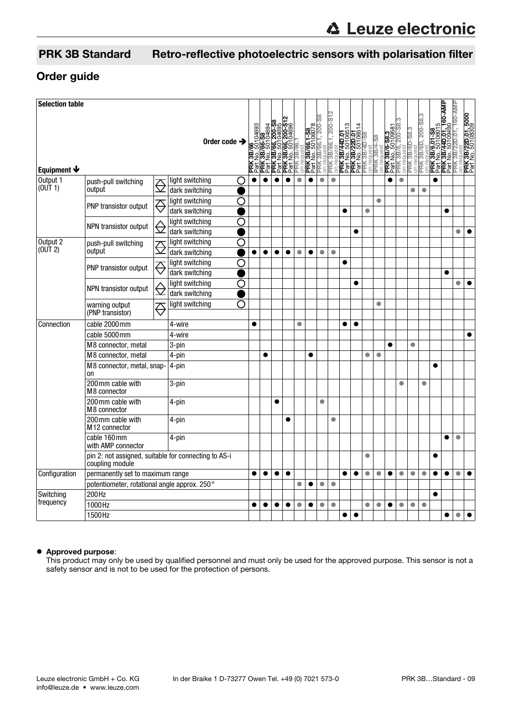## PRK 3B Standard Retro-reflective photoelectric sensors with polarisation filter

#### Order guide

| <b>Selection table</b>                       |                                                                         |             |                                   | Order code $\rightarrow$ |   | /66<br>.50104693 |           | <b>PRK 3B/66-S8</b><br>Part No. 50104694<br><b>PRK 3B/66, 200-S6</b><br>Part No. 50104695 | PRK 3B/66, 200-S<br>Part No. 50104696 | PRK 3B/66 |           | <b>PRK 3B/66.1-S8</b><br>Part No. 50106078<br>PRK 3B/66.1, 200-<br>on request | 3B/66.1, 200          | <b>PRK 3B/44D.01</b><br>Part No. 50106513<br>PRK 3B/22D.01<br>PRK 3B/4D-58<br>PRK 3B/4D-58<br>on request |           |           | 8S- <i>b</i> /88 XHH<br>requ- | <b>PRK 3B/6-S8.3</b><br>Part No. 50109<br>PRK 3B/6, 200<br>on request | $\frac{1}{200}$ | PRK 3B/6D-S8.3<br>on request<br>PRK 3B/6D, 200-S8.3 |           | 5         | 1,160-AMP<br><b>PRK 3B/6.01-S8</b><br>Part No. 5010601<br>PRK 3B/44D.01,<br>Part No. 5010949 | PRK 3B/22D.01, 160-AMP | <b>PRK 3B/22D.01, 5000</b><br>Part No. 50108309 |
|----------------------------------------------|-------------------------------------------------------------------------|-------------|-----------------------------------|--------------------------|---|------------------|-----------|-------------------------------------------------------------------------------------------|---------------------------------------|-----------|-----------|-------------------------------------------------------------------------------|-----------------------|----------------------------------------------------------------------------------------------------------|-----------|-----------|-------------------------------|-----------------------------------------------------------------------|-----------------|-----------------------------------------------------|-----------|-----------|----------------------------------------------------------------------------------------------|------------------------|-------------------------------------------------|
| Equipment $\blacklozenge$                    |                                                                         |             |                                   |                          |   |                  |           |                                                                                           |                                       |           |           |                                                                               | <b>PRK:</b><br>on rec |                                                                                                          |           |           |                               |                                                                       |                 |                                                     | 5         |           |                                                                                              | $\overline{5}$         |                                                 |
| Output 1<br>(0UT 1)                          | push-pull switching<br>output                                           | $\bigoplus$ | light switching<br>dark switching |                          | O | $\bullet$        | ●         | ●                                                                                         | $\bullet$                             | $\bullet$ | $\bullet$ | $\bullet$                                                                     | $\bullet$             |                                                                                                          |           |           |                               | $\bullet$                                                             | $\bullet$       | $\bullet$                                           | $\bullet$ | $\bullet$ |                                                                                              |                        |                                                 |
|                                              | <b>PNP transistor output</b>                                            |             | light switching<br>dark switching |                          | ◯ |                  |           |                                                                                           |                                       |           |           |                                                                               |                       | ●                                                                                                        |           | $\bullet$ | $\bullet$                     |                                                                       |                 |                                                     |           |           | $\bullet$                                                                                    |                        |                                                 |
|                                              | NPN transistor output                                                   | €           | light switching<br>dark switching |                          | O |                  |           |                                                                                           |                                       |           |           |                                                                               |                       |                                                                                                          | $\bullet$ |           |                               |                                                                       |                 |                                                     |           |           |                                                                                              | ۸                      |                                                 |
| Output 2<br>(0 <sup>U</sup> T <sub>2</sub> ) | push-pull switching<br>output                                           |             | light switching<br>dark switching |                          | O | $\bullet$        | $\bullet$ | $\bullet$                                                                                 | $\bullet$                             | $\bullet$ | $\bullet$ | $\bullet$                                                                     | $\bullet$             |                                                                                                          |           |           |                               |                                                                       |                 |                                                     |           |           |                                                                                              |                        |                                                 |
|                                              | PNP transistor output                                                   |             | light switching<br>dark switching |                          | О |                  |           |                                                                                           |                                       |           |           |                                                                               |                       | ●                                                                                                        |           |           |                               |                                                                       |                 |                                                     |           |           | $\bullet$                                                                                    |                        |                                                 |
|                                              | NPN transistor output                                                   | ⊖           | light switching<br>dark switching |                          | O |                  |           |                                                                                           |                                       |           |           |                                                                               |                       |                                                                                                          | $\bullet$ |           |                               |                                                                       |                 |                                                     |           |           |                                                                                              | ۸                      |                                                 |
|                                              | warning output<br>(PNP transistor)                                      |             | light switching                   |                          | O |                  |           |                                                                                           |                                       |           |           |                                                                               |                       |                                                                                                          |           |           | $\bullet$                     |                                                                       |                 |                                                     |           |           |                                                                                              |                        |                                                 |
| Connection                                   | cable 2000mm                                                            |             | 4-wire                            |                          |   | $\bullet$        |           |                                                                                           |                                       | $\bullet$ |           |                                                                               |                       | $\bullet$                                                                                                | $\bullet$ |           |                               |                                                                       |                 |                                                     |           |           |                                                                                              |                        |                                                 |
|                                              | cable 5000mm                                                            |             | 4-wire                            |                          |   |                  |           |                                                                                           |                                       |           |           |                                                                               |                       |                                                                                                          |           |           |                               |                                                                       |                 |                                                     |           |           |                                                                                              |                        |                                                 |
|                                              | M8 connector, metal                                                     |             | 3-pin                             |                          |   |                  |           |                                                                                           |                                       |           |           |                                                                               |                       |                                                                                                          |           |           |                               | $\bullet$                                                             |                 | $\bullet$                                           |           |           |                                                                                              |                        |                                                 |
|                                              | M8 connector, metal                                                     |             | 4-pin                             |                          |   |                  | $\bullet$ |                                                                                           |                                       |           | $\bullet$ |                                                                               |                       |                                                                                                          |           | $\bullet$ | $\bullet$                     |                                                                       |                 |                                                     |           |           |                                                                                              |                        |                                                 |
|                                              | M8 connector, metal, snap-<br>on                                        |             | 4-pin                             |                          |   |                  |           |                                                                                           |                                       |           |           |                                                                               |                       |                                                                                                          |           |           |                               |                                                                       |                 |                                                     |           | $\bullet$ |                                                                                              |                        |                                                 |
|                                              | 200 mm cable with<br>M8 connector                                       |             | 3-pin                             |                          |   |                  |           |                                                                                           |                                       |           |           |                                                                               |                       |                                                                                                          |           |           |                               |                                                                       | $\bullet$       |                                                     | $\bullet$ |           |                                                                                              |                        |                                                 |
|                                              | 200mm cable with<br>M8 connector                                        |             | 4-pin                             |                          |   |                  |           | $\bullet$                                                                                 |                                       |           |           | $\bullet$                                                                     |                       |                                                                                                          |           |           |                               |                                                                       |                 |                                                     |           |           |                                                                                              |                        |                                                 |
|                                              | 200 mm cable with<br>M <sub>12</sub> connector                          |             | 4-pin                             |                          |   |                  |           |                                                                                           |                                       |           |           |                                                                               | $\bullet$             |                                                                                                          |           |           |                               |                                                                       |                 |                                                     |           |           |                                                                                              |                        |                                                 |
|                                              | cable 160mm<br>with AMP connector                                       |             | 4-pin                             |                          |   |                  |           |                                                                                           |                                       |           |           |                                                                               |                       |                                                                                                          |           | $\bullet$ |                               |                                                                       |                 |                                                     |           |           |                                                                                              | $\bullet$              |                                                 |
|                                              | pin 2: not assigned, suitable for connecting to AS-i<br>coupling module |             |                                   |                          |   |                  |           |                                                                                           |                                       |           |           |                                                                               |                       |                                                                                                          |           |           |                               |                                                                       |                 |                                                     |           |           |                                                                                              |                        |                                                 |
| Configuration                                | permanently set to maximum range                                        |             |                                   |                          |   |                  | $\bullet$ | $\bullet$                                                                                 | $\bullet$                             |           |           |                                                                               |                       | ●                                                                                                        | $\bullet$ | $\bullet$ | $\bullet$                     | $\bullet$                                                             | $\bullet$       | $\bullet$                                           | $\bullet$ | $\bullet$ | ●                                                                                            | $\bullet$              |                                                 |
|                                              | potentiometer, rotational angle approx. 250°                            |             |                                   |                          |   |                  |           |                                                                                           |                                       | $\bullet$ |           | $\bullet$                                                                     | $\bullet$             |                                                                                                          |           |           |                               |                                                                       |                 |                                                     |           |           |                                                                                              |                        |                                                 |
| Switching<br>frequency                       | 200Hz                                                                   |             |                                   |                          |   |                  |           |                                                                                           |                                       |           |           |                                                                               |                       |                                                                                                          |           |           |                               |                                                                       |                 |                                                     |           | $\bullet$ |                                                                                              |                        |                                                 |
|                                              | 1000Hz                                                                  |             |                                   |                          |   |                  |           |                                                                                           | $\bullet$                             | $\bullet$ | $\bullet$ | $\bullet$                                                                     | $\bullet$             | $\bullet$                                                                                                | $\bullet$ | $\bullet$ | $\bullet$                     | $\bullet$                                                             | $\bullet$       | $\bullet$                                           |           | $\bullet$ | $\bullet$                                                                                    |                        |                                                 |
|                                              | 1500Hz                                                                  |             |                                   |                          |   |                  |           |                                                                                           |                                       |           |           |                                                                               |                       |                                                                                                          |           |           |                               |                                                                       |                 |                                                     |           |           |                                                                                              |                        |                                                 |

#### Approved purpose:

This product may only be used by qualified personnel and must only be used for the approved purpose. This sensor is not a safety sensor and is not to be used for the protection of persons.